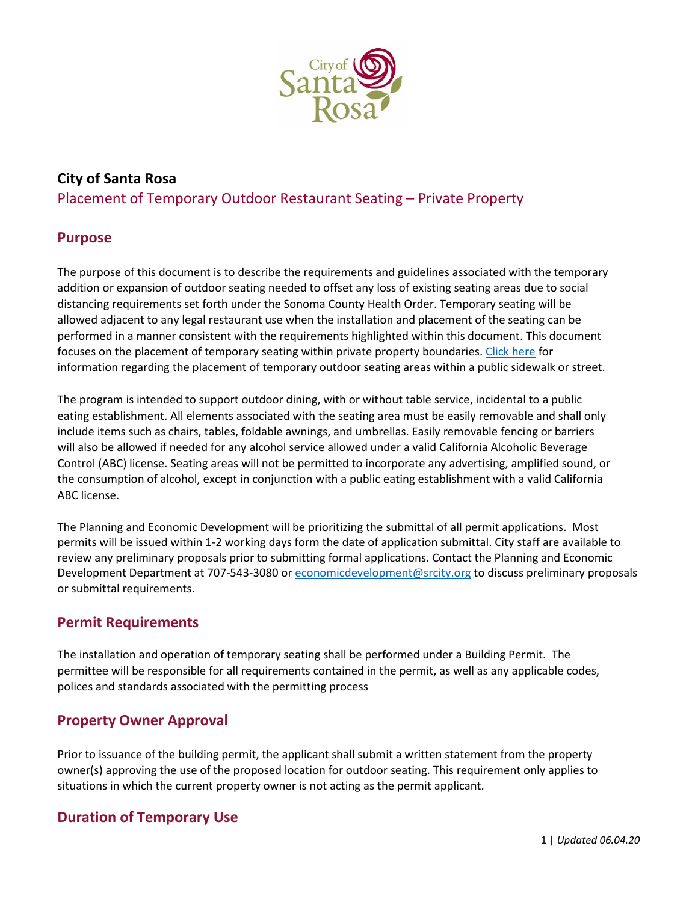

# **City of Santa Rosa**  Placement of Temporary Outdoor Restaurant Seating – Private Property

## **Purpose**

The purpose of this document is to describe the requirements and guidelines associated with the temporary addition or expansion of outdoor seating needed to offset any loss of existing seating areas due to social distancing requirements set forth under the Sonoma County Health Order. Temporary seating will be allowed adjacent to any legal restaurant use when the installation and placement of the seating can be performed in a manner consistent with the requirements highlighted within this document. This document focuses on the placement of temporary seating within private property boundaries. [Click](https://srcity.org/DocumentCenter/View/28476/Temp-Sidewalk-Seating-Jun-3-20-Final) here for information regarding the placement of temporary outdoor seating areas within a public sidewalk or street.

The program is intended to support outdoor dining, with or without table service, incidental to a public eating establishment. All elements associated with the seating area must be easily removable and shall only include items such as chairs, tables, foldable awnings, and umbrellas. Easily removable fencing or barriers will also be allowed if needed for any alcohol service allowed under a valid California Alcoholic Beverage Control (ABC) license. Seating areas will not be permitted to incorporate any advertising, amplified sound, or the consumption of alcohol, except in conjunction with a public eating establishment with a valid California ABC license.

The Planning and Economic Development will be prioritizing the submittal of all permit applications. Most permits will be issued within 1-2 working days form the date of application submittal. City staff are available to review any preliminary proposals prior to submitting formal applications. Contact the Planning and Economic Development Department at 707-543-3080 or [economicdevelopment@srcity.org](mailto:economicdevelopment@srcity.org) to discuss preliminary proposals or submittal requirements.

## **Permit Requirements**

The installation and operation of temporary seating shall be performed under a Building Permit. The permittee will be responsible for all requirements contained in the permit, as well as any applicable codes, polices and standards associated with the permitting process

## **Property Owner Approval**

Prior to issuance of the building permit, the applicant shall submit a written statement from the property owner(s) approving the use of the proposed location for outdoor seating. This requirement only applies to situations in which the current property owner is not acting as the permit applicant.

# **Duration of Temporary Use**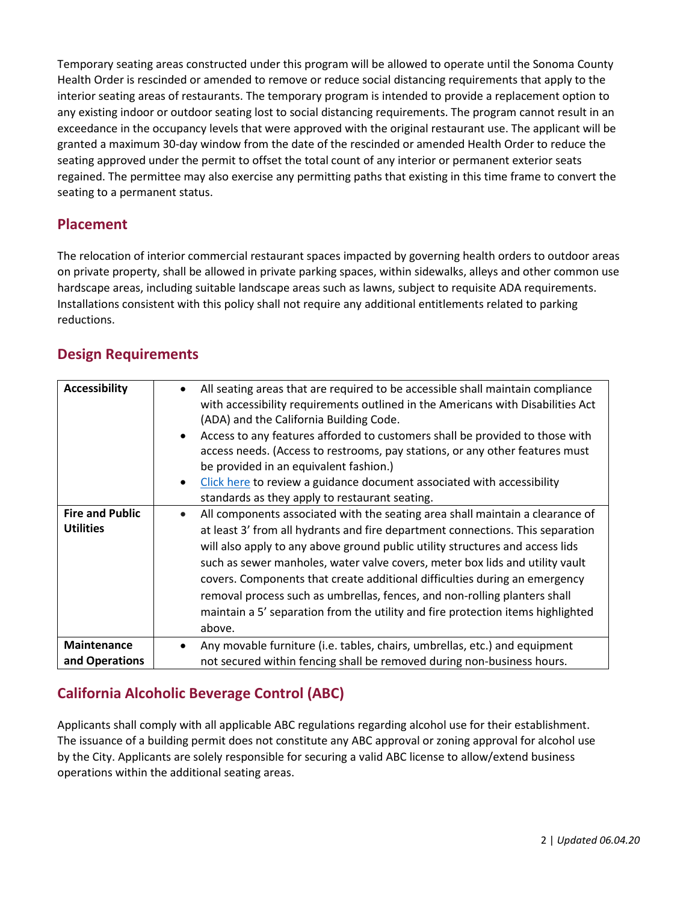Temporary seating areas constructed under this program will be allowed to operate until the Sonoma County Health Order is rescinded or amended to remove or reduce social distancing requirements that apply to the interior seating areas of restaurants. The temporary program is intended to provide a replacement option to any existing indoor or outdoor seating lost to social distancing requirements. The program cannot result in an exceedance in the occupancy levels that were approved with the original restaurant use. The applicant will be granted a maximum 30-day window from the date of the rescinded or amended Health Order to reduce the seating approved under the permit to offset the total count of any interior or permanent exterior seats regained. The permittee may also exercise any permitting paths that existing in this time frame to convert the seating to a permanent status.

## **Placement**

The relocation of interior commercial restaurant spaces impacted by governing health orders to outdoor areas on private property, shall be allowed in private parking spaces, within sidewalks, alleys and other common use hardscape areas, including suitable landscape areas such as lawns, subject to requisite ADA requirements. Installations consistent with this policy shall not require any additional entitlements related to parking reductions.

## **Design Requirements**

| <b>Accessibility</b>                       | All seating areas that are required to be accessible shall maintain compliance<br>with accessibility requirements outlined in the Americans with Disabilities Act<br>(ADA) and the California Building Code.<br>Access to any features afforded to customers shall be provided to those with<br>access needs. (Access to restrooms, pay stations, or any other features must<br>be provided in an equivalent fashion.)<br>Click here to review a guidance document associated with accessibility<br>standards as they apply to restaurant seating.                                       |
|--------------------------------------------|------------------------------------------------------------------------------------------------------------------------------------------------------------------------------------------------------------------------------------------------------------------------------------------------------------------------------------------------------------------------------------------------------------------------------------------------------------------------------------------------------------------------------------------------------------------------------------------|
| <b>Fire and Public</b><br><b>Utilities</b> | All components associated with the seating area shall maintain a clearance of<br>at least 3' from all hydrants and fire department connections. This separation<br>will also apply to any above ground public utility structures and access lids<br>such as sewer manholes, water valve covers, meter box lids and utility vault<br>covers. Components that create additional difficulties during an emergency<br>removal process such as umbrellas, fences, and non-rolling planters shall<br>maintain a 5' separation from the utility and fire protection items highlighted<br>above. |
| Maintenance<br>and Operations              | Any movable furniture (i.e. tables, chairs, umbrellas, etc.) and equipment<br>not secured within fencing shall be removed during non-business hours.                                                                                                                                                                                                                                                                                                                                                                                                                                     |

# **California Alcoholic Beverage Control (ABC)**

Applicants shall comply with all applicable ABC regulations regarding alcohol use for their establishment. The issuance of a building permit does not constitute any ABC approval or zoning approval for alcohol use by the City. Applicants are solely responsible for securing a valid ABC license to allow/extend business operations within the additional seating areas.